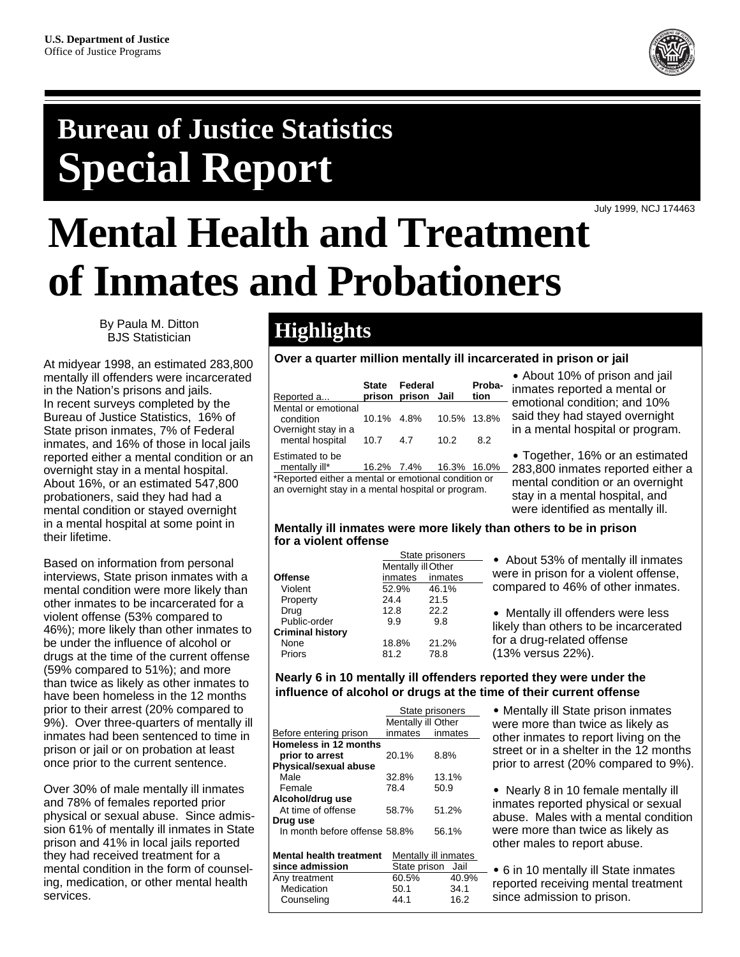

## **Bureau of Justice Statistics Special Report**

July 1999, NCJ 174463

# **Mental Health and Treatment of Inmates and Probationers**

By Paula M. Ditton BJS Statistician

At midyear 1998, an estimated 283,800 mentally ill offenders were incarcerated in the Nation's prisons and jails. In recent surveys completed by the Bureau of Justice Statistics, 16% of State prison inmates, 7% of Federal inmates, and 16% of those in local jails reported either a mental condition or an overnight stay in a mental hospital. About 16%, or an estimated 547,800 probationers, said they had had a mental condition or stayed overnight in a mental hospital at some point in their lifetime.

Based on information from personal interviews, State prison inmates with a mental condition were more likely than other inmates to be incarcerated for a violent offense (53% compared to 46%); more likely than other inmates to be under the influence of alcohol or drugs at the time of the current offense (59% compared to 51%); and more than twice as likely as other inmates to have been homeless in the 12 months prior to their arrest (20% compared to 9%). Over three-quarters of mentally ill inmates had been sentenced to time in prison or jail or on probation at least once prior to the current sentence.

Over 30% of male mentally ill inmates and 78% of females reported prior physical or sexual abuse. Since admission 61% of mentally ill inmates in State prison and 41% in local jails reported they had received treatment for a mental condition in the form of counseling, medication, or other mental health services.

### **Highlights**

**Over a quarter million mentally ill incarcerated in prison or jail**

| Reported a                                          | State Federal<br>prison prison Jail |             | Proba-<br>tion |
|-----------------------------------------------------|-------------------------------------|-------------|----------------|
| Mental or emotional<br>condition                    | 10.1% 4.8%                          | 10.5% 13.8% |                |
| Overnight stay in a<br>mental hospital 10.7         | 4.7                                 | 10.2        | 8.2            |
| Estimated to be<br>mentally ill*                    | 16.2% 7.4% 16.3% 16.0%              |             |                |
| *Reported either a mental or emotional condition or |                                     |             |                |

\*Reported either a mental or emotional condition or an overnight stay in a mental hospital or program.

• About 10% of prison and jail inmates reported a mental or - emotional condition; and 10% said they had stayed overnight in a mental hospital or program.

• Together, 16% or an estimated 283,800 inmates reported either a mental condition or an overnight stay in a mental hospital, and were identified as mentally ill.

#### **Mentally ill inmates were more likely than others to be in prison for a violent offense**

|                         | State prisoners |                    | • About 53% of mentally ill inmates   |  |  |
|-------------------------|-----------------|--------------------|---------------------------------------|--|--|
|                         |                 | Mentally ill Other | were in prison for a violent offense, |  |  |
| Offense                 | inmates         | inmates            |                                       |  |  |
| Violent                 | 52.9%           | 46.1%              | compared to 46% of other inmates.     |  |  |
| Property                | 24.4            | 21.5               |                                       |  |  |
| Drug                    | 12.8            | 22.2               | • Mentally ill offenders were less    |  |  |
| Public-order            | 9.9             | 9.8                | likely than others to be incarcerated |  |  |
| <b>Criminal history</b> |                 |                    |                                       |  |  |
| None                    | 18.8%           | 21.2%              | for a drug-related offense            |  |  |
| Priors                  | 81.2            | 78.8               | (13% versus 22%).                     |  |  |
|                         |                 |                    |                                       |  |  |

#### **Nearly 6 in 10 mentally ill offenders reported they were under the influence of alcohol or drugs at the time of their current offense**

|                                |                    | State prisoners      |
|--------------------------------|--------------------|----------------------|
|                                | Mentally ill Other |                      |
| Before entering prison         | inmates            | inmates              |
| <b>Homeless in 12 months</b>   |                    |                      |
| prior to arrest                | 20.1%              | 8.8%                 |
| <b>Physical/sexual abuse</b>   |                    |                      |
| Male                           | 32.8%              | 13.1%                |
| Female                         | 78.4               | 50.9                 |
| Alcohol/drug use               |                    |                      |
| At time of offense             | 58.7%              | 51.2%                |
| Drug use                       |                    |                      |
| In month before offense 58.8%  |                    | 56.1%                |
|                                |                    |                      |
| <b>Mental health treatment</b> |                    | Mentally ill inmates |
| since admission                | State prison       | Jail                 |
| Any treatment                  | 60.5%              | 40.9%                |
| Medication                     | 50.1               | 34.1                 |
| Counselina                     | 44.1               | 16.2                 |

• Mentally ill State prison inmates were more than twice as likely as other inmates to report living on the street or in a shelter in the 12 months prior to arrest (20% compared to 9%).

• Nearly 8 in 10 female mentally ill inmates reported physical or sexual abuse. Males with a mental condition were more than twice as likely as other males to report abuse.

■ 6 in 10 mentally ill State inmates reported receiving mental treatment since admission to prison.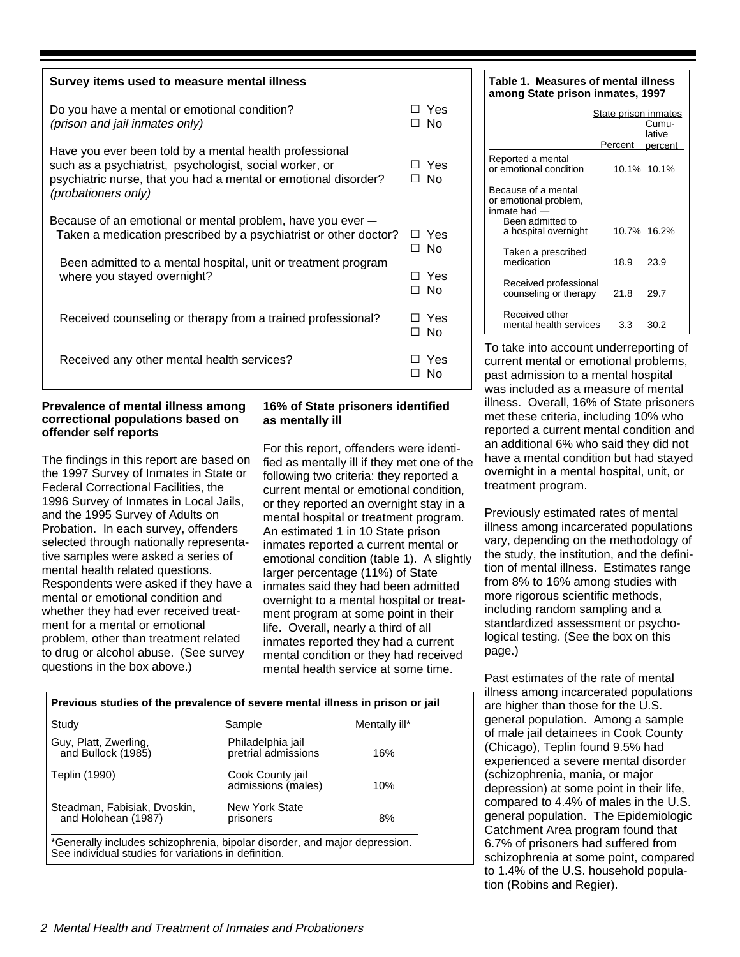| Survey items used to measure mental illness                                                                                                                                                                  |                    |  |
|--------------------------------------------------------------------------------------------------------------------------------------------------------------------------------------------------------------|--------------------|--|
| Do you have a mental or emotional condition?<br>(prison and jail inmates only)                                                                                                                               | ∃ Yes<br>⊐ No      |  |
| Have you ever been told by a mental health professional<br>such as a psychiatrist, psychologist, social worker, or<br>psychiatric nurse, that you had a mental or emotional disorder?<br>(probationers only) | ר Yes<br>∩ No      |  |
| Because of an emotional or mental problem, have you ever -<br>Taken a medication prescribed by a psychiatrist or other doctor?                                                                               |                    |  |
| Been admitted to a mental hospital, unit or treatment program<br>where you stayed overnight?                                                                                                                 | Yes<br>- 1<br>∩ No |  |
| Received counseling or therapy from a trained professional?                                                                                                                                                  | Yes<br>- No<br>П   |  |
| Received any other mental health services?                                                                                                                                                                   | Yes<br>N٥          |  |

#### **Prevalence of mental illness among correctional populations based on offender self reports**

The findings in this report are based on the 1997 Survey of Inmates in State or Federal Correctional Facilities, the 1996 Survey of Inmates in Local Jails, and the 1995 Survey of Adults on Probation. In each survey, offenders selected through nationally representative samples were asked a series of mental health related questions. Respondents were asked if they have a mental or emotional condition and whether they had ever received treatment for a mental or emotional problem, other than treatment related to drug or alcohol abuse. (See survey questions in the box above.)

#### **16% of State prisoners identified as mentally ill**

For this report, offenders were identified as mentally ill if they met one of the following two criteria: they reported a current mental or emotional condition, or they reported an overnight stay in a mental hospital or treatment program. An estimated 1 in 10 State prison inmates reported a current mental or emotional condition (table 1). A slightly larger percentage (11%) of State inmates said they had been admitted overnight to a mental hospital or treatment program at some point in their life. Overall, nearly a third of all inmates reported they had a current mental condition or they had received mental health service at some time.

| Previous studies of the prevalence of severe mental illness in prison or jail |                                          |               |  |  |
|-------------------------------------------------------------------------------|------------------------------------------|---------------|--|--|
| Study                                                                         | Sample                                   | Mentally ill* |  |  |
| Guy, Platt, Zwerling,<br>and Bullock (1985)                                   | Philadelphia jail<br>pretrial admissions | 16%           |  |  |
| Teplin (1990)                                                                 | Cook County jail<br>admissions (males)   | 10%           |  |  |
| Steadman, Fabisiak, Dvoskin,<br>and Holohean (1987)                           | New York State<br>prisoners              | 8%            |  |  |
| *Generally includes schizonbrenia binolar disorder and major depression       |                                          |               |  |  |

\*Generally includes schizophrenia, bipolar disorder, and major depression. See individual studies for variations in definition.

**Table 1. Measures of mental illness among State prison inmates, 1997**

|                                                                                                          | State prison inmates<br>Percent | Cumu-<br>lative<br>percent |
|----------------------------------------------------------------------------------------------------------|---------------------------------|----------------------------|
| Reported a mental<br>or emotional condition                                                              |                                 | 10.1% 10.1%                |
| Because of a mental<br>or emotional problem,<br>inmate had —<br>Been admitted to<br>a hospital overnight |                                 | 10.7% 16.2%                |
| Taken a prescribed<br>medication                                                                         | 18.9                            | 23.9                       |
| Received professional<br>counseling or therapy                                                           | 21.8                            | 29.7                       |
| Received other<br>mental health services                                                                 | 33                              | 30.2                       |

To take into account underreporting of current mental or emotional problems, past admission to a mental hospital was included as a measure of mental illness. Overall, 16% of State prisoners met these criteria, including 10% who reported a current mental condition and an additional 6% who said they did not have a mental condition but had stayed overnight in a mental hospital, unit, or treatment program.

Previously estimated rates of mental illness among incarcerated populations vary, depending on the methodology of the study, the institution, and the definition of mental illness. Estimates range from 8% to 16% among studies with more rigorous scientific methods, including random sampling and a standardized assessment or psychological testing. (See the box on this page.)

Past estimates of the rate of mental illness among incarcerated populations are higher than those for the U.S. general population. Among a sample of male jail detainees in Cook County (Chicago), Teplin found 9.5% had experienced a severe mental disorder (schizophrenia, mania, or major depression) at some point in their life, compared to 4.4% of males in the U.S. general population. The Epidemiologic Catchment Area program found that 6.7% of prisoners had suffered from schizophrenia at some point, compared to 1.4% of the U.S. household population (Robins and Regier).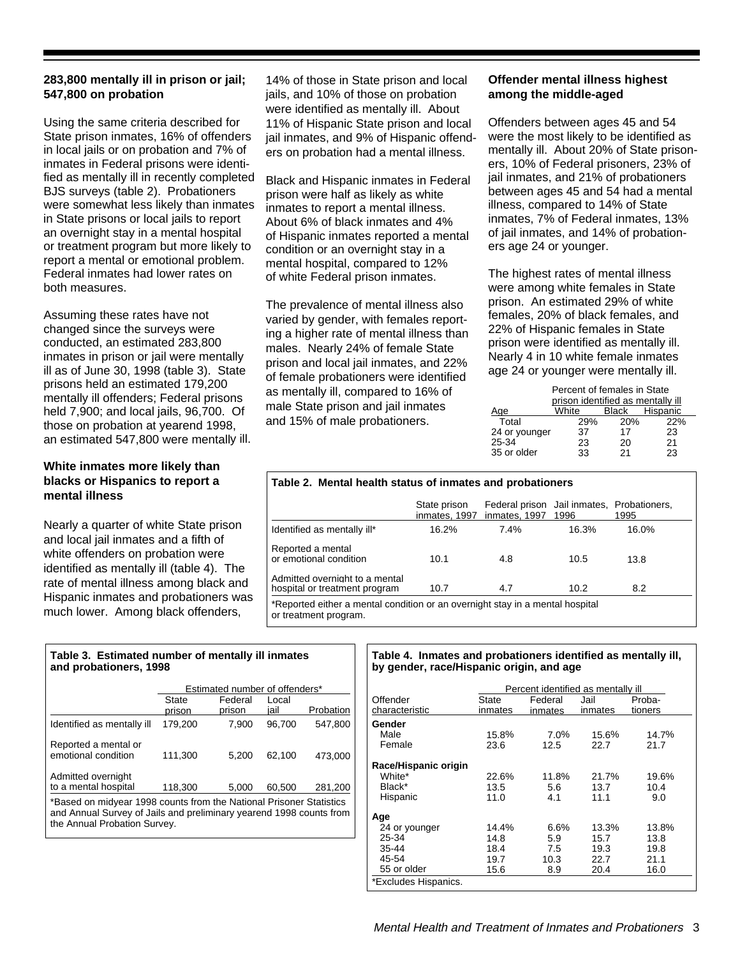#### **283,800 mentally ill in prison or jail; 547,800 on probation**

Using the same criteria described for State prison inmates, 16% of offenders in local jails or on probation and 7% of inmates in Federal prisons were identified as mentally ill in recently completed BJS surveys (table 2). Probationers were somewhat less likely than inmates in State prisons or local jails to report an overnight stay in a mental hospital or treatment program but more likely to report a mental or emotional problem. Federal inmates had lower rates on both measures.

Assuming these rates have not changed since the surveys were conducted, an estimated 283,800 inmates in prison or jail were mentally ill as of June 30, 1998 (table 3). State prisons held an estimated 179,200 mentally ill offenders; Federal prisons held 7,900; and local jails, 96,700. Of those on probation at yearend 1998, an estimated 547,800 were mentally ill.

#### **White inmates more likely than blacks or Hispanics to report a mental illness**

Nearly a quarter of white State prison and local jail inmates and a fifth of white offenders on probation were identified as mentally ill (table 4). The rate of mental illness among black and Hispanic inmates and probationers was much lower. Among black offenders,

14% of those in State prison and local jails, and 10% of those on probation were identified as mentally ill. About 11% of Hispanic State prison and local jail inmates, and 9% of Hispanic offenders on probation had a mental illness.

Black and Hispanic inmates in Federal prison were half as likely as white inmates to report a mental illness. About 6% of black inmates and 4% of Hispanic inmates reported a mental condition or an overnight stay in a mental hospital, compared to 12% of white Federal prison inmates.

The prevalence of mental illness also varied by gender, with females reporting a higher rate of mental illness than males. Nearly 24% of female State prison and local jail inmates, and 22% of female probationers were identified as mentally ill, compared to 16% of male State prison and jail inmates and 15% of male probationers.

#### **Offender mental illness highest among the middle-aged**

Offenders between ages 45 and 54 were the most likely to be identified as mentally ill. About 20% of State prisoners, 10% of Federal prisoners, 23% of jail inmates, and 21% of probationers between ages 45 and 54 had a mental illness, compared to 14% of State inmates, 7% of Federal inmates, 13% of jail inmates, and 14% of probationers age 24 or younger.

The highest rates of mental illness were among white females in State prison. An estimated 29% of white females, 20% of black females, and 22% of Hispanic females in State prison were identified as mentally ill. Nearly 4 in 10 white female inmates age 24 or younger were mentally ill.

|               | Percent of females in State       |       |          |  |
|---------------|-----------------------------------|-------|----------|--|
|               | prison identified as mentally ill |       |          |  |
| Aae           | White                             | Black | Hispanic |  |
| Total         | 29%                               | 20%   | 22%      |  |
| 24 or younger | 37                                | 17    | 23       |  |
| 25-34         | 23                                | 20    | 21       |  |
| 35 or older   | 33                                | 21    | 23       |  |
|               |                                   |       |          |  |

#### **Table 2. Mental health status of inmates and probationers**

|                                                                                                        | State prison<br>inmates, 1997 | Federal prison Jail inmates, Probationers,<br>inmates, 1997 | 1996  | 1995  |
|--------------------------------------------------------------------------------------------------------|-------------------------------|-------------------------------------------------------------|-------|-------|
| Identified as mentally ill*                                                                            | 16.2%                         | 7.4%                                                        | 16.3% | 16.0% |
| Reported a mental<br>or emotional condition                                                            | 10.1                          | 4.8                                                         | 10.5  | 13.8  |
| Admitted overnight to a mental<br>hospital or treatment program                                        | 10.7                          | 4.7                                                         | 10.2  | 8.2   |
| *Reported either a mental condition or an overnight stay in a mental hospital<br>or treatment program. |                               |                                                             |       |       |

#### **Table 3. Estimated number of mentally ill inmates and probationers, 1998**

|                                             | Estimated number of offenders* |                   |               |           |
|---------------------------------------------|--------------------------------|-------------------|---------------|-----------|
|                                             | State<br>prison                | Federal<br>prison | Local<br>iail | Probation |
| Identified as mentally ill                  | 179.200                        | 7.900             | 96.700        | 547.800   |
| Reported a mental or<br>emotional condition | 111,300                        | 5.200             | 62.100        | 473.000   |
| Admitted overnight<br>to a mental hospital  | 118.300                        | 5.000             | 60.500        | 281,200   |

Based on midyear 1998 counts from the National Prisoner Statistics and Annual Survey of Jails and preliminary yearend 1998 counts from the Annual Probation Survey.

#### **Table 4. Inmates and probationers identified as mentally ill, by gender, race/Hispanic origin, and age**

|                      | Percent identified as mentally ill |         |         |         |
|----------------------|------------------------------------|---------|---------|---------|
| Offender             | State                              | Federal | Jail    | Proba-  |
| characteristic       | inmates                            | inmates | inmates | tioners |
| Gender               |                                    |         |         |         |
| Male                 | 15.8%                              | 7.0%    | 15.6%   | 14.7%   |
| Female               | 23.6                               | 12.5    | 22.7    | 21.7    |
| Race/Hispanic origin |                                    |         |         |         |
| White*               | 22.6%                              | 11.8%   | 21.7%   | 19.6%   |
| Black*               | 13.5                               | 5.6     | 13.7    | 10.4    |
| Hispanic             | 11.0                               | 4.1     | 11.1    | 9.0     |
| Age                  |                                    |         |         |         |
| 24 or younger        | 14.4%                              | 6.6%    | 13.3%   | 13.8%   |
| 25 34                | 14.8                               | 5.9     | 15.7    | 13.8    |
| 35 44                | 18.4                               | 7.5     | 19.3    | 19.8    |
| 45-54                | 19.7                               | 10.3    | 22.7    | 21.1    |
| 55 or older          | 15.6                               | 8.9     | 20.4    | 16.0    |
| *Excludes Hispanics. |                                    |         |         |         |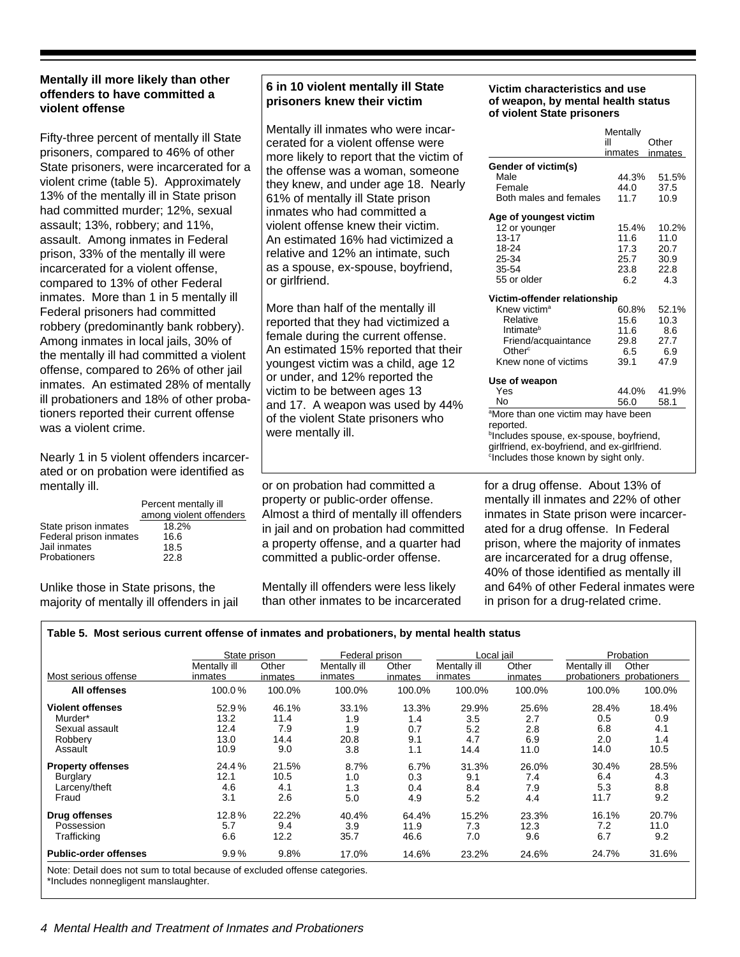#### **Mentally ill more likely than other offenders to have committed a violent offense**

Fifty-three percent of mentally ill State prisoners, compared to 46% of other State prisoners, were incarcerated for a violent crime (table 5). Approximately 13% of the mentally ill in State prison had committed murder; 12%, sexual assault; 13%, robbery; and 11%, assault. Among inmates in Federal prison, 33% of the mentally ill were incarcerated for a violent offense, compared to 13% of other Federal inmates. More than 1 in 5 mentally ill Federal prisoners had committed robbery (predominantly bank robbery). Among inmates in local jails, 30% of the mentally ill had committed a violent offense, compared to 26% of other jail inmates. An estimated 28% of mentally ill probationers and 18% of other probationers reported their current offense was a violent crime.

Nearly 1 in 5 violent offenders incarcerated or on probation were identified as mentally ill.

|                        | Percent mentally ill<br>among violent offenders |
|------------------------|-------------------------------------------------|
| State prison inmates   | 18.2%                                           |
| Federal prison inmates | 16.6                                            |
| Jail inmates           | 18.5                                            |
| <b>Probationers</b>    | 22.8                                            |

Unlike those in State prisons, the majority of mentally ill offenders in jail

#### **6 in 10 violent mentally ill State prisoners knew their victim**

Mentally ill inmates who were incarcerated for a violent offense were more likely to report that the victim of the offense was a woman, someone they knew, and under age 18. Nearly 61% of mentally ill State prison inmates who had committed a violent offense knew their victim. An estimated 16% had victimized a relative and 12% an intimate, such as a spouse, ex-spouse, boyfriend, or girlfriend.

More than half of the mentally ill reported that they had victimized a female during the current offense. An estimated 15% reported that their youngest victim was a child, age 12 or under, and 12% reported the victim to be between ages 13 and 17. A weapon was used by 44% of the violent State prisoners who were mentally ill.

or on probation had committed a property or public-order offense. Almost a third of mentally ill offenders in jail and on probation had committed a property offense, and a quarter had committed a public-order offense.

Mentally ill offenders were less likely than other inmates to be incarcerated

#### **Victim characteristics and use of weapon, by mental health status of violent State prisoners**

|                                                     | Mentally |         |
|-----------------------------------------------------|----------|---------|
|                                                     | ill      | Other   |
|                                                     | inmates  | inmates |
| Gender of victim(s)                                 |          |         |
| Male                                                | 44.3%    | 51.5%   |
| Female                                              | 44.0     | 37.5    |
| Both males and females                              | 11.7     | 10.9    |
|                                                     |          |         |
| Age of youngest victim                              |          |         |
| 12 or younger                                       | 15.4%    | 10.2%   |
| $13 - 17$                                           | 11.6     | 11.0    |
| 18-24                                               | 17.3     | 20.7    |
| 25-34                                               | 25.7     | 30.9    |
| 35-54                                               | 23.8     | 22.8    |
| 55 or older                                         | 6.2      | 4.3     |
|                                                     |          |         |
| Victim-offender relationship                        |          |         |
| Knew victim <sup>a</sup>                            | 60.8%    | 52.1%   |
| Relative                                            | 15.6     | 10.3    |
| Intimate <sup>b</sup>                               | 11.6     | 8.6     |
| Friend/acquaintance                                 | 29.8     | 27.7    |
| Other <sup>c</sup>                                  | 6.5      | 6.9     |
| Knew none of victims                                | 39.1     | 47.9    |
|                                                     |          |         |
| Use of weapon                                       |          |         |
| Yes                                                 | 44.0%    | 41.9%   |
| Nο                                                  | 56.0     | 58.1    |
| <sup>a</sup> More than one victim may have been     |          |         |
| reported.                                           |          |         |
| <sup>b</sup> Includes spouse, ex-spouse, boyfriend, |          |         |
| girlfriend, ex-boyfriend, and ex-girlfriend.        |          |         |
| <sup>c</sup> Includes those known by sight only.    |          |         |
|                                                     |          |         |

for a drug offense. About 13% of mentally ill inmates and 22% of other inmates in State prison were incarcerated for a drug offense. In Federal prison, where the majority of inmates are incarcerated for a drug offense, 40% of those identified as mentally ill and 64% of other Federal inmates were in prison for a drug-related crime.

#### **Table 5. Most serious current offense of inmates and probationers, by mental health status**

|                              | State prison |         | Federal prison |         | Local jail   |         |                           | Probation |
|------------------------------|--------------|---------|----------------|---------|--------------|---------|---------------------------|-----------|
|                              | Mentally ill | Other   | Mentally ill   | Other   | Mentally ill | Other   | Mentally ill              | Other     |
| Most serious offense         | inmates      | inmates | inmates        | inmates | inmates      | inmates | probationers probationers |           |
| All offenses                 | 100.0%       | 100.0%  | 100.0%         | 100.0%  | 100.0%       | 100.0%  | 100.0%                    | 100.0%    |
| <b>Violent offenses</b>      | 52.9%        | 46.1%   | 33.1%          | 13.3%   | 29.9%        | 25.6%   | 28.4%                     | 18.4%     |
| Murder*                      | 13.2         | 11.4    | 1.9            | 1.4     | 3.5          | 2.7     | 0.5                       | 0.9       |
| Sexual assault               | 12.4         | 7.9     | 1.9            | 0.7     | 5.2          | 2.8     | 6.8                       | 4.1       |
| Robberv                      | 13.0         | 14.4    | 20.8           | 9.1     | 4.7          | 6.9     | 2.0                       | 1.4       |
| Assault                      | 10.9         | 9.0     | 3.8            | 1.1     | 14.4         | 11.0    | 14.0                      | 10.5      |
| <b>Property offenses</b>     | 24.4%        | 21.5%   | 8.7%           | 6.7%    | 31.3%        | 26.0%   | 30.4%                     | 28.5%     |
| Burglary                     | 12.1         | 10.5    | 1.0            | 0.3     | 9.1          | 7.4     | 6.4                       | 4.3       |
| Larcenv/theft                | 4.6          | 4.1     | 1.3            | 0.4     | 8.4          | 7.9     | 5.3                       | 8.8       |
| Fraud                        | 3.1          | 2.6     | 5.0            | 4.9     | 5.2          | 4.4     | 11.7                      | 9.2       |
| Drug offenses                | 12.8%        | 22.2%   | 40.4%          | 64.4%   | 15.2%        | 23.3%   | 16.1%                     | 20.7%     |
| Possession                   | 5.7          | 9.4     | 3.9            | 11.9    | 7.3          | 12.3    | 7.2                       | 11.0      |
| Trafficking                  | 6.6          | 12.2    | 35.7           | 46.6    | 7.0          | 9.6     | 6.7                       | 9.2       |
| <b>Public-order offenses</b> | 9.9%         | 9.8%    | 17.0%          | 14.6%   | 23.2%        | 24.6%   | 24.7%                     | 31.6%     |

\*Includes nonnegligent manslaughter.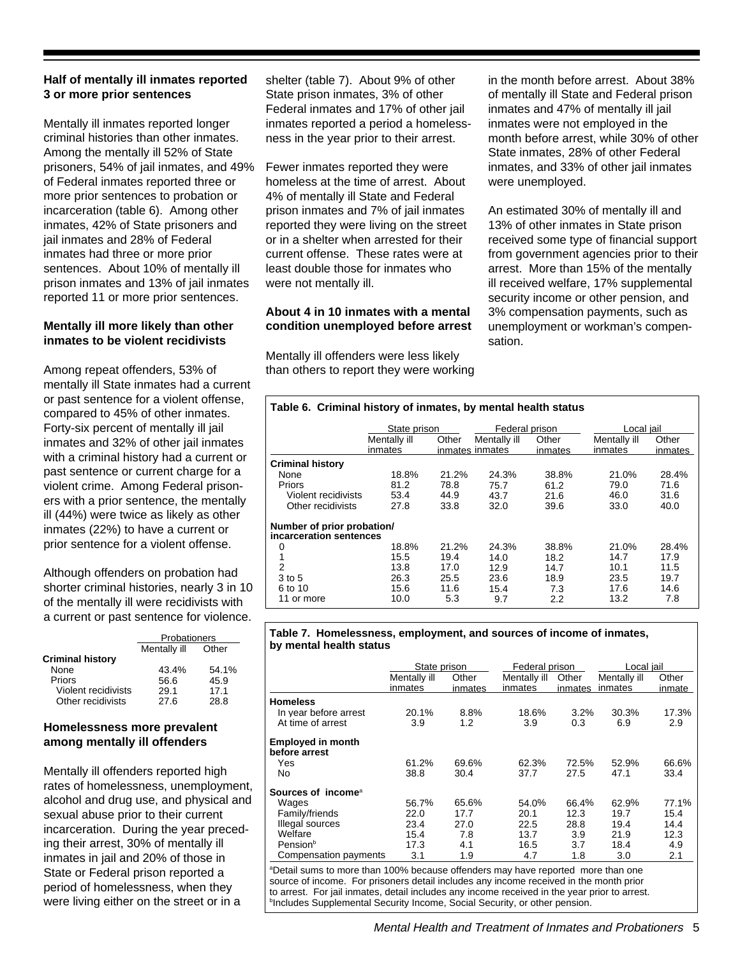#### **Half of mentally ill inmates reported 3 or more prior sentences**

Mentally ill inmates reported longer criminal histories than other inmates. Among the mentally ill 52% of State prisoners, 54% of jail inmates, and 49% of Federal inmates reported three or more prior sentences to probation or incarceration (table 6). Among other inmates, 42% of State prisoners and jail inmates and 28% of Federal inmates had three or more prior sentences. About 10% of mentally ill prison inmates and 13% of jail inmates reported 11 or more prior sentences.

#### **Mentally ill more likely than other inmates to be violent recidivists**

Among repeat offenders, 53% of mentally ill State inmates had a current or past sentence for a violent offense, compared to 45% of other inmates. Forty-six percent of mentally ill jail inmates and 32% of other jail inmates with a criminal history had a current or past sentence or current charge for a violent crime. Among Federal prisoners with a prior sentence, the mentally ill (44%) were twice as likely as other inmates (22%) to have a current or prior sentence for a violent offense.

Although offenders on probation had shorter criminal histories, nearly 3 in 10 of the mentally ill were recidivists with a current or past sentence for violence.

|                         | Probationers |       |  |  |  |
|-------------------------|--------------|-------|--|--|--|
|                         | Mentally ill | Other |  |  |  |
| <b>Criminal history</b> |              |       |  |  |  |
| None                    | 43.4%        | 54.1% |  |  |  |
| Priors                  | 56.6         | 45.9  |  |  |  |
| Violent recidivists     | 29.1         | 17.1  |  |  |  |
| Other recidivists       | 27.6         | 28 R  |  |  |  |

#### **Homelessness more prevalent among mentally ill offenders**

Mentally ill offenders reported high rates of homelessness, unemployment, alcohol and drug use, and physical and sexual abuse prior to their current incarceration. During the year preceding their arrest, 30% of mentally ill inmates in jail and 20% of those in State or Federal prison reported a period of homelessness, when they were living either on the street or in a

shelter (table 7). About 9% of other State prison inmates, 3% of other Federal inmates and 17% of other jail inmates reported a period a homelessness in the year prior to their arrest.

Fewer inmates reported they were homeless at the time of arrest. About 4% of mentally ill State and Federal prison inmates and 7% of jail inmates reported they were living on the street or in a shelter when arrested for their current offense. These rates were at least double those for inmates who were not mentally ill.

#### **About 4 in 10 inmates with a mental condition unemployed before arrest**

Mentally ill offenders were less likely than others to report they were working in the month before arrest. About 38% of mentally ill State and Federal prison inmates and 47% of mentally ill jail inmates were not employed in the month before arrest, while 30% of other State inmates, 28% of other Federal inmates, and 33% of other jail inmates were unemployed.

An estimated 30% of mentally ill and 13% of other inmates in State prison received some type of financial support from government agencies prior to their arrest. More than 15% of the mentally ill received welfare, 17% supplemental security income or other pension, and 3% compensation payments, such as unemployment or workman's compensation.

#### 11 or more 10.0 5.3 9.7 2.2 13.2 7.8 6 to 10 15.6 11.6 15.4 7.3 17.6 14.6 3 to 5 26.3 25.5 23.6 18.9 23.5 19.7 2 13.8 17.0 12.9 14.7 10.1 11.5 1 15.5 19.4 14.0 18.2 14.7 17.9 0 18.8% 21.2% 24.3% 38.8% 21.0% 28.4% **incarceration sentences Number of prior probation/** Other recidivists 27.8 33.8 32.0 39.6 33.0 40.0 Violent recidivists 53.4 44.9 43.7 21.6 46.0 31.6 Priors 81.2 78.8 75.7 61.2 79.0 71.6 None 18.8% 21.2% 24.3% 38.8% 21.0% 28.4% **Criminal history** inmates inmates inmates inmates inmates inmates Mentally ill Other Mentally ill Other Mentally ill Other State prison Federal prison Local jail **Table 6. Criminal history of inmates, by mental health status**

#### **Table 7. Homelessness, employment, and sources of income of inmates, by mental health status**

|                                                                                              | State prison |         | Federal prison |         | Local iail   |        |
|----------------------------------------------------------------------------------------------|--------------|---------|----------------|---------|--------------|--------|
|                                                                                              | Mentally ill | Other   | Mentally ill   | Other   | Mentally ill | Other  |
|                                                                                              | inmates      | inmates | inmates        | inmates | inmates      | inmate |
| <b>Homeless</b>                                                                              |              |         |                |         |              |        |
| In year before arrest                                                                        | 20.1%        | 8.8%    | 18.6%          | 3.2%    | 30.3%        | 17.3%  |
| At time of arrest                                                                            | 3.9          | 1.2     | 3.9            | 0.3     | 6.9          | 2.9    |
| <b>Employed in month</b>                                                                     |              |         |                |         |              |        |
| before arrest                                                                                |              |         |                |         |              |        |
| Yes                                                                                          | 61.2%        | 69.6%   | 62.3%          | 72.5%   | 52.9%        | 66.6%  |
| No                                                                                           | 38.8         | 30.4    | 37.7           | 27.5    | 47.1         | 33.4   |
| Sources of income <sup>a</sup>                                                               |              |         |                |         |              |        |
| Wages                                                                                        | 56.7%        | 65.6%   | 54.0%          | 66.4%   | 62.9%        | 77.1%  |
| Family/friends                                                                               | 22.0         | 17.7    | 20.1           | 12.3    | 19.7         | 15.4   |
| Illegal sources                                                                              | 23.4         | 27.0    | 22.5           | 28.8    | 19.4         | 14.4   |
| Welfare                                                                                      | 15.4         | 7.8     | 13.7           | 3.9     | 21.9         | 12.3   |
| Pension <sup>b</sup>                                                                         | 17.3         | 4.1     | 16.5           | 3.7     | 18.4         | 4.9    |
| Compensation payments                                                                        | 3.1          | 1.9     | 4.7            | 1.8     | 3.0          | 2.1    |
| <sup>a</sup> Detail sums to more than 100% because offenders may have reported more than one |              |         |                |         |              |        |

Detail sums to more than 100% because offenders may have reported more than one source of income. For prisoners detail includes any income received in the month prior to arrest. For jail inmates, detail includes any income received in the year prior to arrest. **hincludes Supplemental Security Income, Social Security, or other pension.**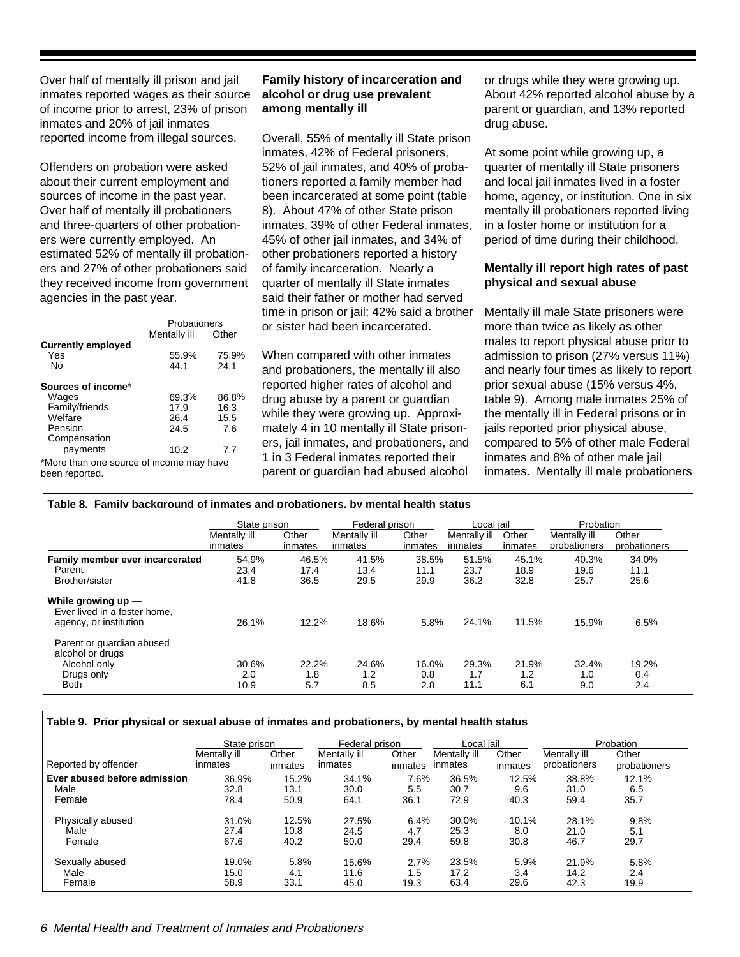Over half of mentally ill prison and jail inmates reported wages as their source of income prior to arrest, 23% of prison inmates and 20% of jail inmates reported income from illegal sources.

Offenders on probation were asked about their current employment and sources of income in the past year. Over half of mentally ill probationers and three-quarters of other probationers were currently employed. An estimated 52% of mentally ill probationers and 27% of other probationers said they received income from government agencies in the past year.

|                                        | Probationers  |               |  |  |  |  |
|----------------------------------------|---------------|---------------|--|--|--|--|
|                                        | Mentally ill  | Other         |  |  |  |  |
| <b>Currently employed</b><br>Yes<br>Nο | 55.9%<br>44.1 | 75.9%<br>24.1 |  |  |  |  |
| Sources of income*                     |               |               |  |  |  |  |
| Wages                                  | 69.3%         | 86.8%         |  |  |  |  |
| Family/friends                         | 17.9          | 16.3          |  |  |  |  |
| Welfare                                | 26.4          | 15.5          |  |  |  |  |
| Pension                                | 24.5          | 7.6           |  |  |  |  |
| Compensation                           |               |               |  |  |  |  |
| pavments                               | 10.2          | 77            |  |  |  |  |

\*More than one source of income may have been reported.

#### **Family history of incarceration and alcohol or drug use prevalent among mentally ill**

Overall, 55% of mentally ill State prison inmates, 42% of Federal prisoners, 52% of jail inmates, and 40% of probationers reported a family member had been incarcerated at some point (table 8). About 47% of other State prison inmates, 39% of other Federal inmates, 45% of other jail inmates, and 34% of other probationers reported a history of family incarceration. Nearly a quarter of mentally ill State inmates said their father or mother had served time in prison or jail; 42% said a brother or sister had been incarcerated.

When compared with other inmates and probationers, the mentally ill also reported higher rates of alcohol and drug abuse by a parent or guardian while they were growing up. Approximately 4 in 10 mentally ill State prisoners, jail inmates, and probationers, and 1 in 3 Federal inmates reported their parent or guardian had abused alcohol

or drugs while they were growing up. About 42% reported alcohol abuse by a parent or guardian, and 13% reported drug abuse.

At some point while growing up, a quarter of mentally ill State prisoners and local jail inmates lived in a foster home, agency, or institution. One in six mentally ill probationers reported living in a foster home or institution for a period of time during their childhood.

#### **Mentally ill report high rates of past physical and sexual abuse**

Mentally ill male State prisoners were more than twice as likely as other males to report physical abuse prior to admission to prison (27% versus 11%) and nearly four times as likely to report prior sexual abuse (15% versus 4%, table 9). Among male inmates 25% of the mentally ill in Federal prisons or in jails reported prior physical abuse, compared to 5% of other male Federal inmates and 8% of other male jail inmates. Mentally ill male probationers

| Table 8. Family background of inmates and probationers. by mental health status            |                         |                       |                         |                       |                         |                       |                              |                       |
|--------------------------------------------------------------------------------------------|-------------------------|-----------------------|-------------------------|-----------------------|-------------------------|-----------------------|------------------------------|-----------------------|
|                                                                                            | State prison            |                       | Federal prison          |                       | Local jail              |                       | Probation                    |                       |
|                                                                                            | Mentally ill<br>inmates | Other<br>inmates      | Mentally ill<br>inmates | Other<br>inmates      | Mentally ill<br>inmates | Other<br>inmates      | Mentally ill<br>probationers | Other<br>probationers |
| Family member ever incarcerated<br>Parent<br>Brother/sister                                | 54.9%<br>23.4<br>41.8   | 46.5%<br>17.4<br>36.5 | 41.5%<br>13.4<br>29.5   | 38.5%<br>11.1<br>29.9 | 51.5%<br>23.7<br>36.2   | 45.1%<br>18.9<br>32.8 | 40.3%<br>19.6<br>25.7        | 34.0%<br>11.1<br>25.6 |
| While arowing up $-$<br>Ever lived in a foster home,<br>agency, or institution             | 26.1%                   | 12.2%                 | 18.6%                   | 5.8%                  | 24.1%                   | 11.5%                 | 15.9%                        | 6.5%                  |
| Parent or guardian abused<br>alcohol or drugs<br>Alcohol only<br>Drugs only<br><b>Both</b> | 30.6%<br>2.0<br>10.9    | 22.2%<br>1.8<br>5.7   | 24.6%<br>1.2<br>8.5     | 16.0%<br>0.8<br>2.8   | 29.3%<br>1.7<br>11.1    | 21.9%<br>1.2<br>6.1   | 32.4%<br>1.0<br>9.0          | 19.2%<br>0.4<br>2.4   |

#### **Table 9. Prior physical or sexual abuse of inmates and probationers, by mental health status**

|                              | State prison |         | Federal prison |         | Local jail   |         |              | Probation    |
|------------------------------|--------------|---------|----------------|---------|--------------|---------|--------------|--------------|
| Reported by offender         | Mentally ill | Other   | Mentally ill   | Other   | Mentally ill | Other   | Mentally ill | Other        |
|                              | inmates      | inmates | inmates        | inmates | inmates      | inmates | probationers | probationers |
| Ever abused before admission | 36.9%        | 15.2%   | 34.1%          | 7.6%    | 36.5%        | 12.5%   | 38.8%        | 12.1%        |
| Male                         | 32.8         | 13.1    | 30.0           | 5.5     | 30.7         | 9.6     | 31.0         | 6.5          |
| Female                       | 78.4         | 50.9    | 64.1           | 36.1    | 72.9         | 40.3    | 59.4         | 35.7         |
| Physically abused            | 31.0%        | 12.5%   | 27.5%          | $6.4\%$ | 30.0%        | 10.1%   | 28.1%        | 9.8%         |
| Male                         | 27.4         | 10.8    | 24.5           | 4.7     | 25.3         | 8.0     | 21.0         | 5.1          |
| Female                       | 67.6         | 40.2    | 50.0           | 29.4    | 59.8         | 30.8    | 46.7         | 29.7         |
| Sexually abused              | 19.0%        | 5.8%    | 15.6%          | 2.7%    | 23.5%        | 5.9%    | 21.9%        | 5.8%         |
| Male                         | 15.0         | 4.1     | 11.6           | 1.5     | 17.2         | 3.4     | 14.2         | 2.4          |
| Female                       | 58.9         | 33.1    | 45.0           | 19.3    | 63.4         | 29.6    | 42.3         | 19.9         |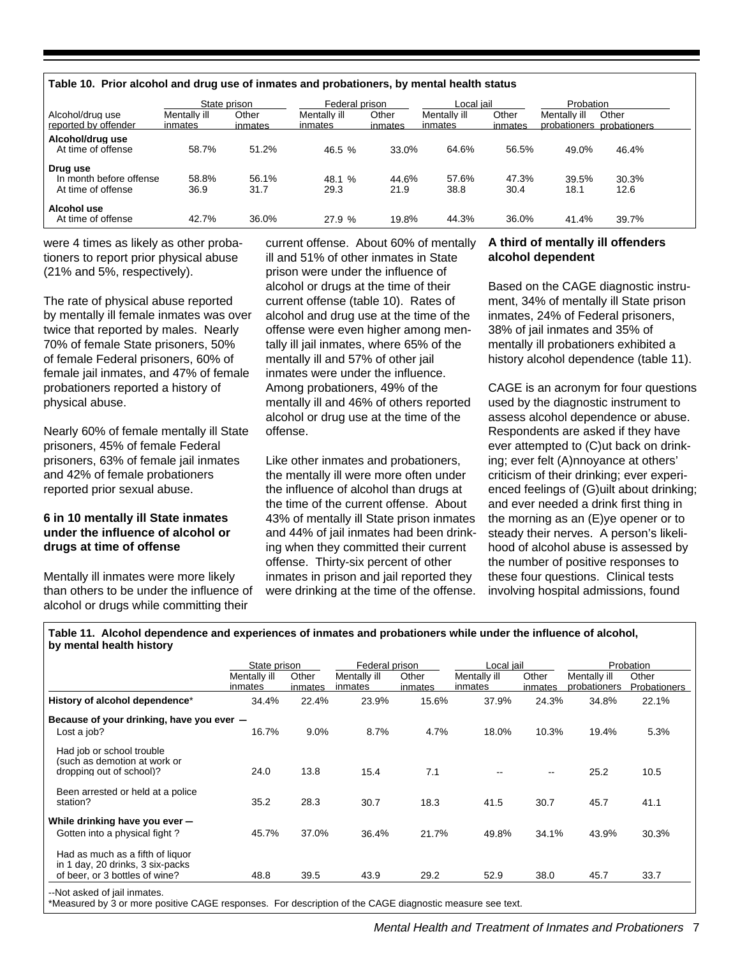#### **Table 10. Prior alcohol and drug use of inmates and probationers, by mental health status**

|                                                           | State prison            |                  |                         | Federal prison<br>Local iail |                         |                  | Probation     |                                    |  |
|-----------------------------------------------------------|-------------------------|------------------|-------------------------|------------------------------|-------------------------|------------------|---------------|------------------------------------|--|
| Alcohol/drug use<br>reported by offender                  | Mentally ill<br>inmates | Other<br>inmates | Mentally ill<br>inmates | Other<br>inmates             | Mentally ill<br>inmates | Other<br>inmates | Mentally ill  | Other<br>probationers probationers |  |
| Alcohol/drug use<br>At time of offense                    | 58.7%                   | 51.2%            | 46.5%                   | 33.0%                        | 64.6%                   | 56.5%            | 49.0%         | 46.4%                              |  |
| Drug use<br>In month before offense<br>At time of offense | 58.8%<br>36.9           | 56.1%<br>31.7    | 48.1 %<br>29.3          | 44.6%<br>21.9                | 57.6%<br>38.8           | 47.3%<br>30.4    | 39.5%<br>18.1 | 30.3%<br>12.6                      |  |
| Alcohol use<br>At time of offense                         | 42.7%                   | 36.0%            | 27.9 %                  | 19.8%                        | 44.3%                   | 36.0%            | 41.4%         | 39.7%                              |  |

were 4 times as likely as other probationers to report prior physical abuse (21% and 5%, respectively).

The rate of physical abuse reported by mentally ill female inmates was over twice that reported by males. Nearly 70% of female State prisoners, 50% of female Federal prisoners, 60% of female jail inmates, and 47% of female probationers reported a history of physical abuse.

Nearly 60% of female mentally ill State prisoners, 45% of female Federal prisoners, 63% of female jail inmates and 42% of female probationers reported prior sexual abuse.

#### **6 in 10 mentally ill State inmates under the influence of alcohol or drugs at time of offense**

Mentally ill inmates were more likely than others to be under the influence of alcohol or drugs while committing their

current offense. About 60% of mentally ill and 51% of other inmates in State prison were under the influence of alcohol or drugs at the time of their current offense (table 10). Rates of alcohol and drug use at the time of the offense were even higher among mentally ill jail inmates, where 65% of the mentally ill and 57% of other jail inmates were under the influence. Among probationers, 49% of the mentally ill and 46% of others reported alcohol or drug use at the time of the offense.

Like other inmates and probationers, the mentally ill were more often under the influence of alcohol than drugs at the time of the current offense. About 43% of mentally ill State prison inmates and 44% of jail inmates had been drinking when they committed their current offense. Thirty-six percent of other inmates in prison and jail reported they were drinking at the time of the offense.

#### **A third of mentally ill offenders alcohol dependent**

Based on the CAGE diagnostic instrument, 34% of mentally ill State prison inmates, 24% of Federal prisoners, 38% of jail inmates and 35% of mentally ill probationers exhibited a history alcohol dependence (table 11).

CAGE is an acronym for four questions used by the diagnostic instrument to assess alcohol dependence or abuse. Respondents are asked if they have ever attempted to (C)ut back on drinking; ever felt (A)nnoyance at others' criticism of their drinking; ever experienced feelings of (G)uilt about drinking; and ever needed a drink first thing in the morning as an (E)ye opener or to steady their nerves. A person's likelihood of alcohol abuse is assessed by the number of positive responses to these four questions. Clinical tests involving hospital admissions, found

**Table 11. Alcohol dependence and experiences of inmates and probationers while under the influence of alcohol, by mental health history**

|                                                                                                                                          | State prison            |                  | Federal prison          |                  | Local iail              |                  |                              | Probation             |
|------------------------------------------------------------------------------------------------------------------------------------------|-------------------------|------------------|-------------------------|------------------|-------------------------|------------------|------------------------------|-----------------------|
|                                                                                                                                          | Mentally ill<br>inmates | Other<br>inmates | Mentally ill<br>inmates | Other<br>inmates | Mentally ill<br>inmates | Other<br>inmates | Mentally ill<br>probationers | Other<br>Probationers |
| History of alcohol dependence*                                                                                                           | 34.4%                   | 22.4%            | 23.9%                   | 15.6%            | 37.9%                   | 24.3%            | 34.8%                        | 22.1%                 |
| Because of your drinking, have you ever -                                                                                                |                         |                  |                         |                  |                         |                  |                              |                       |
| Lost a job?                                                                                                                              | 16.7%                   | 9.0%             | 8.7%                    | 4.7%             | 18.0%                   | 10.3%            | 19.4%                        | 5.3%                  |
| Had job or school trouble<br>(such as demotion at work or<br>dropping out of school)?                                                    | 24.0                    | 13.8             | 15.4                    | 7.1              |                         |                  | 25.2                         | 10.5                  |
| Been arrested or held at a police<br>station?                                                                                            | 35.2                    | 28.3             | 30.7                    | 18.3             | 41.5                    | 30.7             | 45.7                         | 41.1                  |
| While drinking have you ever -<br>Gotten into a physical fight?                                                                          | 45.7%                   | 37.0%            | 36.4%                   | 21.7%            | 49.8%                   | 34.1%            | 43.9%                        | 30.3%                 |
| Had as much as a fifth of liquor<br>in 1 day, 20 drinks, 3 six-packs<br>of beer, or 3 bottles of wine?                                   | 48.8                    | 39.5             | 43.9                    | 29.2             | 52.9                    | 38.0             | 45.7                         | 33.7                  |
| --Not asked of jail inmates.<br>*Measured by 3 or more positive CAGE responses. For description of the CAGE diagnostic measure see text. |                         |                  |                         |                  |                         |                  |                              |                       |

Mental Health and Treatment of Inmates and Probationers 7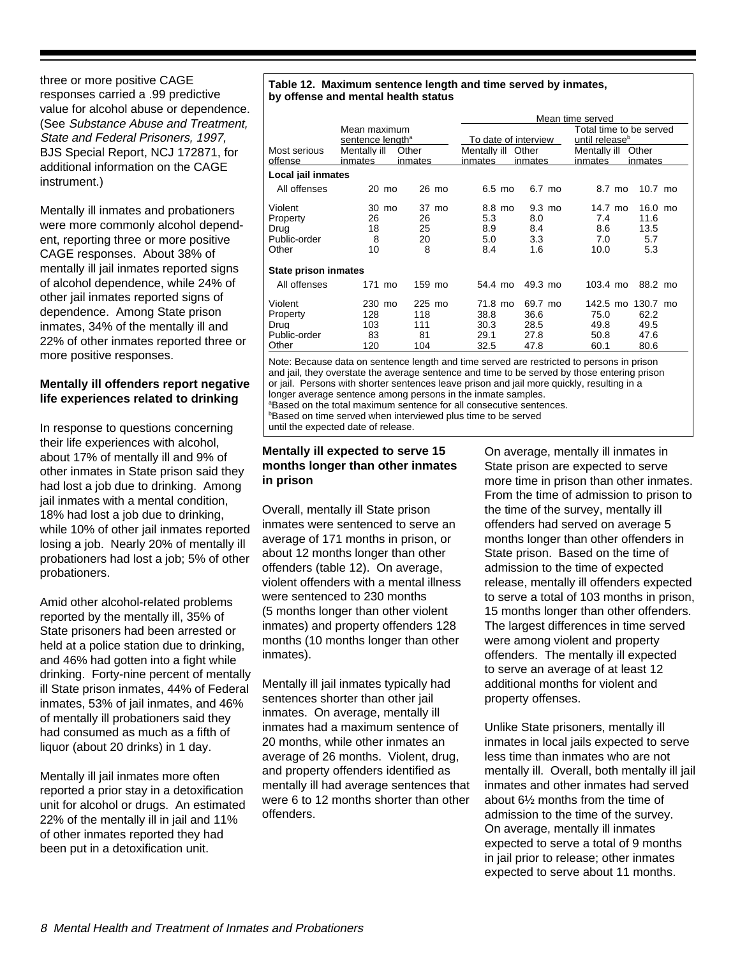three or more positive CAGE responses carried a .99 predictive value for alcohol abuse or dependence. (See Substance Abuse and Treatment, State and Federal Prisoners, 1997, BJS Special Report, NCJ 172871, for additional information on the CAGE instrument.)

Mentally ill inmates and probationers were more commonly alcohol dependent, reporting three or more positive CAGE responses. About 38% of mentally ill jail inmates reported signs of alcohol dependence, while 24% of other jail inmates reported signs of dependence. Among State prison inmates, 34% of the mentally ill and 22% of other inmates reported three or more positive responses.

#### **Mentally ill offenders report negative life experiences related to drinking**

In response to questions concerning their life experiences with alcohol, about 17% of mentally ill and 9% of other inmates in State prison said they had lost a job due to drinking. Among jail inmates with a mental condition, 18% had lost a job due to drinking, while 10% of other jail inmates reported losing a job. Nearly 20% of mentally ill probationers had lost a job; 5% of other probationers.

Amid other alcohol-related problems reported by the mentally ill, 35% of State prisoners had been arrested or held at a police station due to drinking, and 46% had gotten into a fight while drinking. Forty-nine percent of mentally ill State prison inmates, 44% of Federal inmates, 53% of jail inmates, and 46% of mentally ill probationers said they had consumed as much as a fifth of liquor (about 20 drinks) in 1 day.

Mentally ill jail inmates more often reported a prior stay in a detoxification unit for alcohol or drugs. An estimated 22% of the mentally ill in jail and 11% of other inmates reported they had been put in a detoxification unit.

#### **Table 12. Maximum sentence length and time served by inmates, by offense and mental health status**

|                      |                                              |         | Mean time served                                                              |                   |                    |                   |  |  |
|----------------------|----------------------------------------------|---------|-------------------------------------------------------------------------------|-------------------|--------------------|-------------------|--|--|
|                      | Mean maximum<br>sentence length <sup>a</sup> |         | Total time to be served<br>To date of interview<br>until release <sup>b</sup> |                   |                    |                   |  |  |
|                      |                                              |         |                                                                               |                   |                    |                   |  |  |
| Most serious         | Mentally ill                                 | Other   | Mentally ill                                                                  | Other             | Mentally ill       | Other             |  |  |
| offense              | inmates                                      | inmates | inmates                                                                       | inmates           | inmates            | inmates           |  |  |
| Local jail inmates   |                                              |         |                                                                               |                   |                    |                   |  |  |
| All offenses         | 20 mo                                        | 26 mo   | $6.5 \text{ mo}$                                                              | 6.7 mo            | 8.7 mo             | $10.7 \text{ mo}$ |  |  |
| Violent              | 30 mo                                        | 37 mo   | 8.8 mo                                                                        | $9.3 \text{ mo}$  | 14.7 mo            | 16.0 mo           |  |  |
| Property             | 26                                           | 26      | 5.3                                                                           | 8.0               | 7.4                | 11.6              |  |  |
| Drug                 | 18                                           | 25      | 8.9                                                                           | 8.4               | 8.6                | 13.5              |  |  |
| Public-order         | 8                                            | 20      | 5.0                                                                           | 3.3               | 7.0                | 5.7               |  |  |
| Other                | 10                                           | 8       | 8.4                                                                           | 1.6               | 10.0               | 5.3               |  |  |
| State prison inmates |                                              |         |                                                                               |                   |                    |                   |  |  |
| All offenses         | 171 mo                                       | 159 mo  | 54.4 mo                                                                       | $49.3 \text{ mo}$ | $103.4 \text{ mo}$ | 88.2 mo           |  |  |
| Violent              | 230 mo                                       | 225 mo  | 71.8 mo                                                                       | 69.7 mo           | 142.5 mo           | 130.7 mo          |  |  |
| Property             | 128                                          | 118     | 38.8                                                                          | 36.6              | 75.0               | 62.2              |  |  |
| Drug                 | 103                                          | 111     | 30.3                                                                          | 28.5              | 49.8               | 49.5              |  |  |
| Public-order         | 83                                           | 81      | 29.1                                                                          | 27.8              | 50.8               | 47.6              |  |  |
| Other                | 120                                          | 104     | 32.5                                                                          | 47.8              | 60.1               | 80.6              |  |  |

Note: Because data on sentence length and time served are restricted to persons in prison and jail, they overstate the average sentence and time to be served by those entering prison or jail. Persons with shorter sentences leave prison and jail more quickly, resulting in a longer average sentence among persons in the inmate samples.

a Based on the total maximum sentence for all consecutive sentences.

b Based on time served when interviewed plus time to be served

until the expected date of release.

#### **Mentally ill expected to serve 15 months longer than other inmates in prison**

Overall, mentally ill State prison inmates were sentenced to serve an average of 171 months in prison, or about 12 months longer than other offenders (table 12). On average, violent offenders with a mental illness were sentenced to 230 months (5 months longer than other violent inmates) and property offenders 128 months (10 months longer than other inmates).

Mentally ill jail inmates typically had sentences shorter than other jail inmates. On average, mentally ill inmates had a maximum sentence of 20 months, while other inmates an average of 26 months. Violent, drug, and property offenders identified as mentally ill had average sentences that were 6 to 12 months shorter than other offenders.

On average, mentally ill inmates in State prison are expected to serve more time in prison than other inmates. From the time of admission to prison to the time of the survey, mentally ill offenders had served on average 5 months longer than other offenders in State prison. Based on the time of admission to the time of expected release, mentally ill offenders expected to serve a total of 103 months in prison, 15 months longer than other offenders. The largest differences in time served were among violent and property offenders. The mentally ill expected to serve an average of at least 12 additional months for violent and property offenses.

Unlike State prisoners, mentally ill inmates in local jails expected to serve less time than inmates who are not mentally ill. Overall, both mentally ill jail inmates and other inmates had served about 6½ months from the time of admission to the time of the survey. On average, mentally ill inmates expected to serve a total of 9 months in jail prior to release; other inmates expected to serve about 11 months.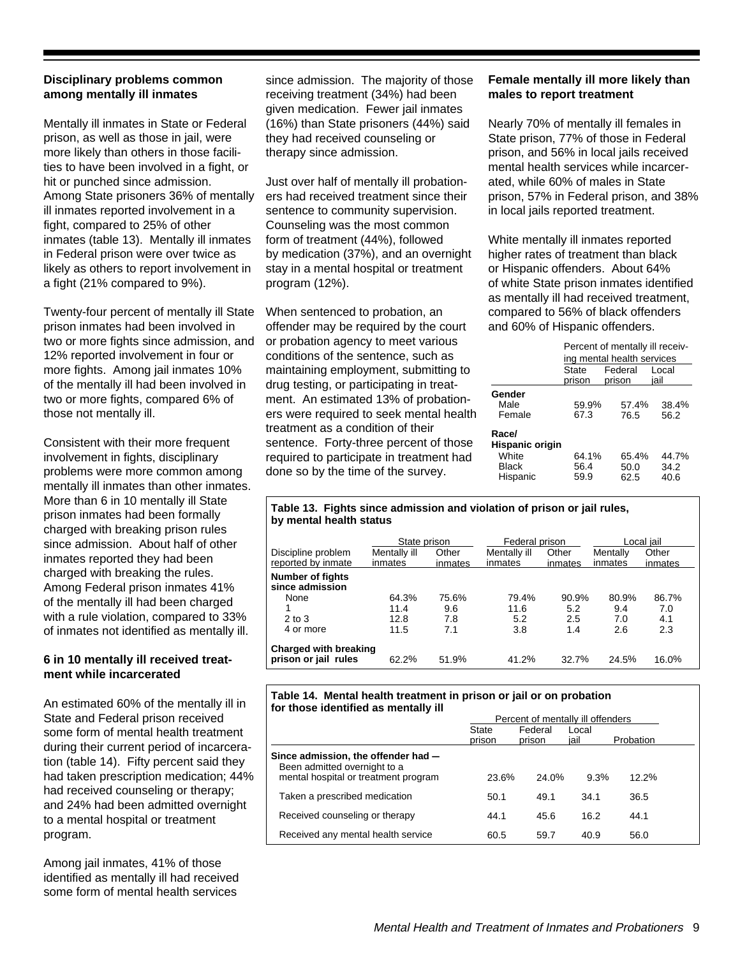#### **Disciplinary problems common among mentally ill inmates**

Mentally ill inmates in State or Federal prison, as well as those in jail, were more likely than others in those facilities to have been involved in a fight, or hit or punched since admission. Among State prisoners 36% of mentally ill inmates reported involvement in a fight, compared to 25% of other inmates (table 13). Mentally ill inmates in Federal prison were over twice as likely as others to report involvement in a fight (21% compared to 9%).

Twenty-four percent of mentally ill State prison inmates had been involved in two or more fights since admission, and 12% reported involvement in four or more fights. Among jail inmates 10% of the mentally ill had been involved in two or more fights, compared 6% of those not mentally ill.

Consistent with their more frequent involvement in fights, disciplinary problems were more common among mentally ill inmates than other inmates. More than 6 in 10 mentally ill State prison inmates had been formally charged with breaking prison rules since admission. About half of other inmates reported they had been charged with breaking the rules. Among Federal prison inmates 41% of the mentally ill had been charged with a rule violation, compared to 33% of inmates not identified as mentally ill.

#### **6 in 10 mentally ill received treatment while incarcerated**

An estimated 60% of the mentally ill in State and Federal prison received some form of mental health treatment during their current period of incarceration (table 14). Fifty percent said they had taken prescription medication; 44% had received counseling or therapy; and 24% had been admitted overnight to a mental hospital or treatment program.

Among jail inmates, 41% of those identified as mentally ill had received some form of mental health services

since admission. The majority of those receiving treatment (34%) had been given medication. Fewer jail inmates (16%) than State prisoners (44%) said they had received counseling or therapy since admission.

Just over half of mentally ill probationers had received treatment since their sentence to community supervision. Counseling was the most common form of treatment (44%), followed by medication (37%), and an overnight stay in a mental hospital or treatment program (12%).

When sentenced to probation, an offender may be required by the court or probation agency to meet various conditions of the sentence, such as maintaining employment, submitting to drug testing, or participating in treatment. An estimated 13% of probationers were required to seek mental health treatment as a condition of their sentence. Forty-three percent of those required to participate in treatment had done so by the time of the survey.

#### **Female mentally ill more likely than males to report treatment**

Nearly 70% of mentally ill females in State prison, 77% of those in Federal prison, and 56% in local jails received mental health services while incarcerated, while 60% of males in State prison, 57% in Federal prison, and 38% in local jails reported treatment.

White mentally ill inmates reported higher rates of treatment than black or Hispanic offenders. About 64% of white State prison inmates identified as mentally ill had received treatment, compared to 56% of black offenders and 60% of Hispanic offenders.

|                                                        | Percent of mentally ill receiv- |                            |                       |  |  |  |  |  |
|--------------------------------------------------------|---------------------------------|----------------------------|-----------------------|--|--|--|--|--|
|                                                        |                                 | ing mental health services |                       |  |  |  |  |  |
|                                                        | State<br>prison                 | Federal<br>prison          | Local<br>iail         |  |  |  |  |  |
| Gender<br>Male<br>Female                               | 59.9%<br>67.3                   | 57.4%<br>76.5              | 38.4%<br>56.2         |  |  |  |  |  |
| Race/<br>Hispanic origin<br>White<br>Black<br>Hispanic | 64.1%<br>56.4<br>59.9           | 65.4%<br>50.0<br>62.5      | 44.7%<br>34.2<br>40.6 |  |  |  |  |  |

#### **Table 13. Fights since admission and violation of prison or jail rules, by mental health status**

|                                                      | State prison |         | Federal prison |         | Local iail |         |  |
|------------------------------------------------------|--------------|---------|----------------|---------|------------|---------|--|
| Discipline problem                                   | Mentally ill | Other   | Mentally ill   | Other   | Mentally   | Other   |  |
| reported by inmate                                   | inmates      | inmates | inmates        | inmates | inmates    | inmates |  |
| Number of fights<br>since admission                  |              |         |                |         |            |         |  |
| None                                                 | 64.3%        | 75.6%   | 79.4%          | 90.9%   | 80.9%      | 86.7%   |  |
|                                                      | 11.4         | 9.6     | 11.6           | 5.2     | 9.4        | 7.0     |  |
| $2$ to $3$                                           | 12.8         | 7.8     | 5.2            | 2.5     | 7.0        | 4.1     |  |
| 4 or more                                            | 11.5         | 7.1     | 3.8            | 1.4     | 2.6        | 2.3     |  |
| <b>Charged with breaking</b><br>prison or jail rules | 62.2%        | 51.9%   | 41.2%          | 32.7%   | 24.5%      | 16.0%   |  |

#### **Table 14. Mental health treatment in prison or jail or on probation for those identified as mentally ill**

|                                                                                                             |                        | Percent of mentally ill offenders |               |           |  |
|-------------------------------------------------------------------------------------------------------------|------------------------|-----------------------------------|---------------|-----------|--|
|                                                                                                             | <b>State</b><br>prison | Federal<br>prison                 | Local<br>iail | Probation |  |
| Since admission, the offender had -<br>Been admitted overnight to a<br>mental hospital or treatment program | 23.6%                  | 24.0%                             | 9.3%          | $12.2\%$  |  |
| Taken a prescribed medication                                                                               | 50.1                   | 49.1                              | 34.1          | 36.5      |  |
| Received counseling or therapy                                                                              | 44.1                   | 45.6                              | 16.2          | 44.1      |  |
| Received any mental health service                                                                          | 60.5                   | 59.7                              | 40.9          | 56.0      |  |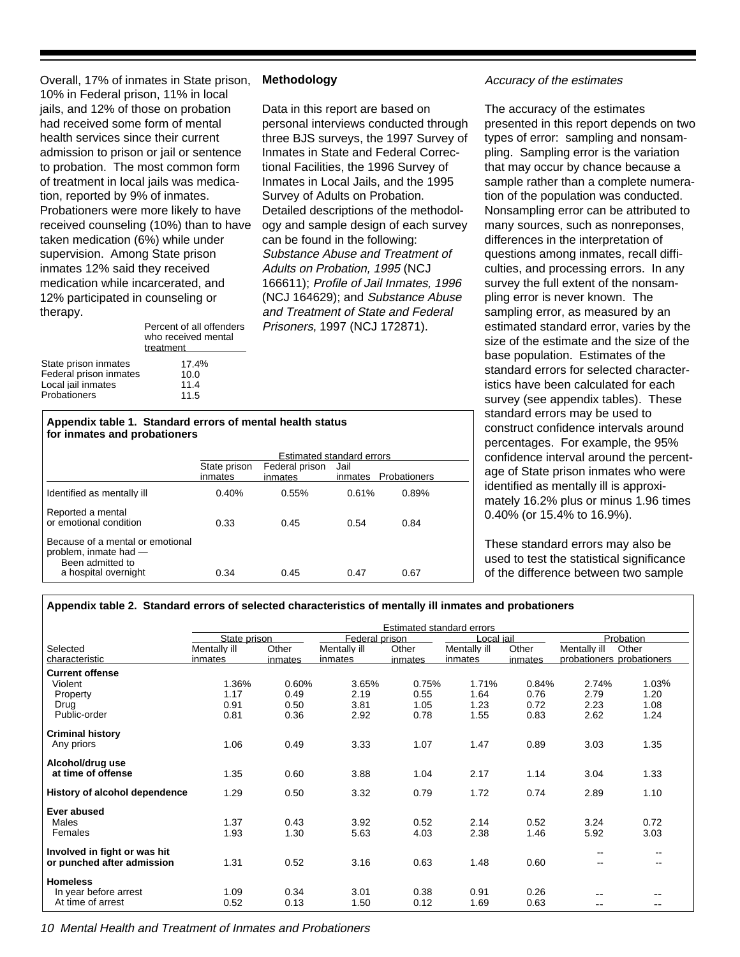Overall, 17% of inmates in State prison, 10% in Federal prison, 11% in local jails, and 12% of those on probation had received some form of mental health services since their current admission to prison or jail or sentence to probation. The most common form of treatment in local jails was medication, reported by 9% of inmates. Probationers were more likely to have received counseling (10%) than to have taken medication (6%) while under supervision. Among State prison inmates 12% said they received medication while incarcerated, and 12% participated in counseling or therapy.

State prison inmates 17.4% treatment who received mental Percent of all offenders

Probationers 11.5 Local jail inmates 11.4 Federal prison inmates 10.0

#### **Methodology**

Data in this report are based on personal interviews conducted through three BJS surveys, the 1997 Survey of Inmates in State and Federal Correctional Facilities, the 1996 Survey of Inmates in Local Jails, and the 1995 Survey of Adults on Probation. Detailed descriptions of the methodology and sample design of each survey can be found in the following: Substance Abuse and Treatment of Adults on Probation, 1995 (NCJ 166611); Profile of Jail Inmates, 1996 (NCJ 164629); and Substance Abuse and Treatment of State and Federal Prisoners, 1997 (NCJ 172871).

#### **Appendix table 1. Standard errors of mental health status for inmates and probationers**

|                                                                               | <b>Estimated standard errors</b> |                           |                 |              |  |  |  |
|-------------------------------------------------------------------------------|----------------------------------|---------------------------|-----------------|--------------|--|--|--|
|                                                                               | State prison<br>inmates          | Federal prison<br>inmates | Jail<br>inmates | Probationers |  |  |  |
| Identified as mentally ill                                                    | 0.40%                            | 0.55%                     | 0.61%           | 0.89%        |  |  |  |
| Reported a mental<br>or emotional condition                                   | 0.33                             | 0.45                      | 0.54            | 0.84         |  |  |  |
| Because of a mental or emotional<br>problem, inmate had -<br>Been admitted to |                                  |                           |                 |              |  |  |  |
| a hospital overnight                                                          | 0.34                             | 0.45                      | 0.47            | 0.67         |  |  |  |

#### Accuracy of the estimates

The accuracy of the estimates presented in this report depends on two types of error: sampling and nonsampling. Sampling error is the variation that may occur by chance because a sample rather than a complete numeration of the population was conducted. Nonsampling error can be attributed to many sources, such as nonreponses, differences in the interpretation of questions among inmates, recall difficulties, and processing errors. In any survey the full extent of the nonsampling error is never known. The sampling error, as measured by an estimated standard error, varies by the size of the estimate and the size of the base population. Estimates of the standard errors for selected characteristics have been calculated for each survey (see appendix tables). These standard errors may be used to construct confidence intervals around percentages. For example, the 95% confidence interval around the percentage of State prison inmates who were identified as mentally ill is approximately 16.2% plus or minus 1.96 times 0.40% (or 15.4% to 16.9%).

These standard errors may also be used to test the statistical significance of the difference between two sample

#### **Appendix table 2. Standard errors of selected characteristics of mentally ill inmates and probationers**

|                                        | Estimated standard errors |                  |                         |                  |                         |                  |                                           |               |
|----------------------------------------|---------------------------|------------------|-------------------------|------------------|-------------------------|------------------|-------------------------------------------|---------------|
|                                        | State prison              |                  | Federal prison          |                  | Local iail              |                  | Probation                                 |               |
| Selected<br>characteristic             | Mentally ill<br>inmates   | Other<br>inmates | Mentally ill<br>inmates | Other<br>inmates | Mentally ill<br>inmates | Other<br>inmates | Mentally ill<br>probationers probationers | Other         |
| <b>Current offense</b>                 |                           |                  |                         |                  |                         |                  |                                           |               |
| Violent                                | 1.36%                     | 0.60%            | 3.65%                   | 0.75%            | 1.71%                   | 0.84%            | 2.74%                                     | 1.03%         |
| Property                               | 1.17                      | 0.49             | 2.19                    | 0.55             | 1.64                    | 0.76             | 2.79                                      | 1.20          |
| Drug                                   | 0.91                      | 0.50             | 3.81                    | 1.05             | 1.23                    | 0.72             | 2.23                                      | 1.08          |
| Public-order                           | 0.81                      | 0.36             | 2.92                    | 0.78             | 1.55                    | 0.83             | 2.62                                      | 1.24          |
| <b>Criminal history</b>                |                           |                  |                         |                  |                         |                  |                                           |               |
| Any priors                             | 1.06                      | 0.49             | 3.33                    | 1.07             | 1.47                    | 0.89             | 3.03                                      | 1.35          |
| Alcohol/drug use<br>at time of offense | 1.35                      | 0.60             | 3.88                    | 1.04             | 2.17                    | 1.14             | 3.04                                      | 1.33          |
|                                        |                           |                  |                         |                  |                         |                  |                                           |               |
| History of alcohol dependence          | 1.29                      | 0.50             | 3.32                    | 0.79             | 1.72                    | 0.74             | 2.89                                      | 1.10          |
| Ever abused                            |                           |                  |                         |                  |                         |                  |                                           |               |
| Males                                  | 1.37                      | 0.43             | 3.92                    | 0.52             | 2.14                    | 0.52             | 3.24                                      | 0.72          |
| Females                                | 1.93                      | 1.30             | 5.63                    | 4.03             | 2.38                    | 1.46             | 5.92                                      | 3.03          |
| Involved in fight or was hit           |                           |                  |                         |                  |                         |                  | $-$                                       |               |
| or punched after admission             | 1.31                      | 0.52             | 3.16                    | 0.63             | 1.48                    | 0.60             | $\overline{\phantom{a}}$                  | $\sim$ $\sim$ |
| <b>Homeless</b>                        |                           |                  |                         |                  |                         |                  |                                           |               |
| In year before arrest                  | 1.09                      | 0.34             | 3.01                    | 0.38             | 0.91                    | 0.26             |                                           |               |
| At time of arrest                      | 0.52                      | 0.13             | 1.50                    | 0.12             | 1.69                    | 0.63             | --                                        |               |

10 Mental Health and Treatment of Inmates and Probationers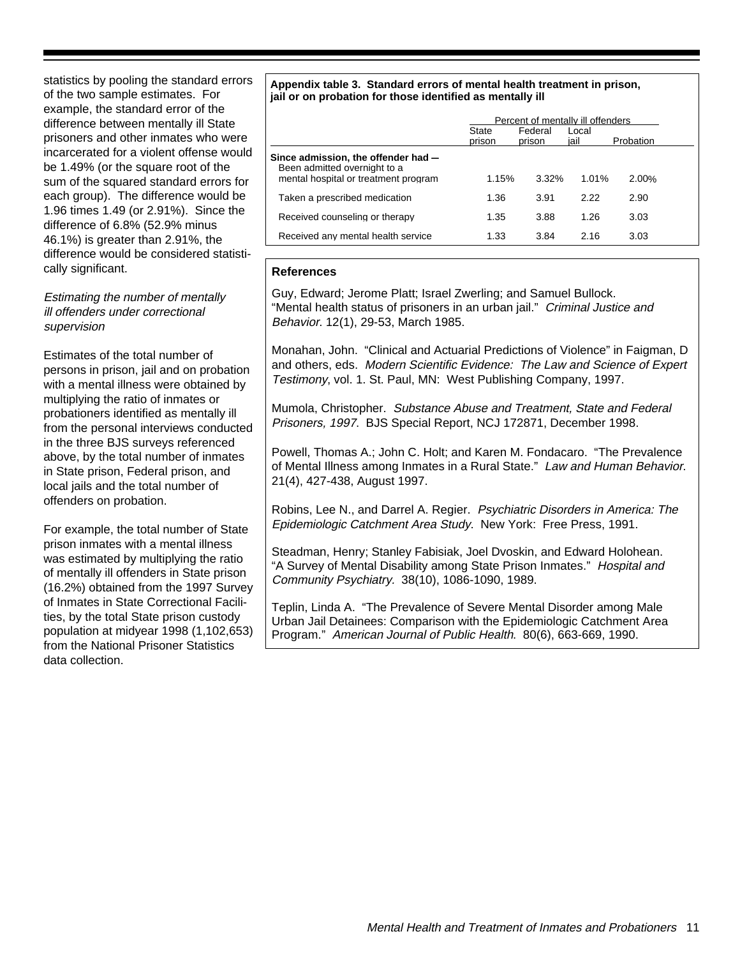statistics by pooling the standard errors of the two sample estimates. For example, the standard error of the difference between mentally ill State prisoners and other inmates who were incarcerated for a violent offense would be 1.49% (or the square root of the sum of the squared standard errors for each group). The difference would be 1.96 times 1.49 (or 2.91%). Since the difference of 6.8% (52.9% minus 46.1%) is greater than 2.91%, the difference would be considered statistically significant.

#### Estimating the number of mentally ill offenders under correctional supervision

Estimates of the total number of persons in prison, jail and on probation with a mental illness were obtained by multiplying the ratio of inmates or probationers identified as mentally ill from the personal interviews conducted in the three BJS surveys referenced above, by the total number of inmates in State prison, Federal prison, and local jails and the total number of offenders on probation.

For example, the total number of State prison inmates with a mental illness was estimated by multiplying the ratio of mentally ill offenders in State prison (16.2%) obtained from the 1997 Survey of Inmates in State Correctional Facilities, by the total State prison custody population at midyear 1998 (1,102,653) from the National Prisoner Statistics data collection.

#### **Appendix table 3. Standard errors of mental health treatment in prison, jail or on probation for those identified as mentally ill**

|                                                                                                             | Percent of mentally ill offenders |                   |               |           |  |  |
|-------------------------------------------------------------------------------------------------------------|-----------------------------------|-------------------|---------------|-----------|--|--|
|                                                                                                             | State<br>prison                   | Federal<br>prison | Local<br>iail | Probation |  |  |
| Since admission, the offender had -<br>Been admitted overnight to a<br>mental hospital or treatment program | 1.15%                             | $3.32\%$          | 1.01%         | 2.00%     |  |  |
| Taken a prescribed medication                                                                               | 1.36                              | 3.91              | 2.22          | 2.90      |  |  |
| Received counseling or therapy                                                                              | 1.35                              | 3.88              | 1.26          | 3.03      |  |  |
| Received any mental health service                                                                          | 1.33                              | 3.84              | 2.16          | 3.03      |  |  |

#### **References**

Guy, Edward; Jerome Platt; Israel Zwerling; and Samuel Bullock. "Mental health status of prisoners in an urban jail." Criminal Justice and Behavior. 12(1), 29-53, March 1985.

Monahan, John. "Clinical and Actuarial Predictions of Violence" in Faigman, D and others, eds. Modern Scientific Evidence: The Law and Science of Expert Testimony, vol. 1. St. Paul, MN: West Publishing Company, 1997.

Mumola, Christopher. Substance Abuse and Treatment, State and Federal Prisoners, 1997. BJS Special Report, NCJ 172871, December 1998.

Powell, Thomas A.; John C. Holt; and Karen M. Fondacaro. "The Prevalence of Mental Illness among Inmates in a Rural State." Law and Human Behavior. 21(4), 427-438, August 1997.

Robins, Lee N., and Darrel A. Regier. Psychiatric Disorders in America: The Epidemiologic Catchment Area Study. New York: Free Press, 1991.

Steadman, Henry; Stanley Fabisiak, Joel Dvoskin, and Edward Holohean. "A Survey of Mental Disability among State Prison Inmates." Hospital and Community Psychiatry. 38(10), 1086-1090, 1989.

Teplin, Linda A. "The Prevalence of Severe Mental Disorder among Male Urban Jail Detainees: Comparison with the Epidemiologic Catchment Area Program." American Journal of Public Health. 80(6), 663-669, 1990.